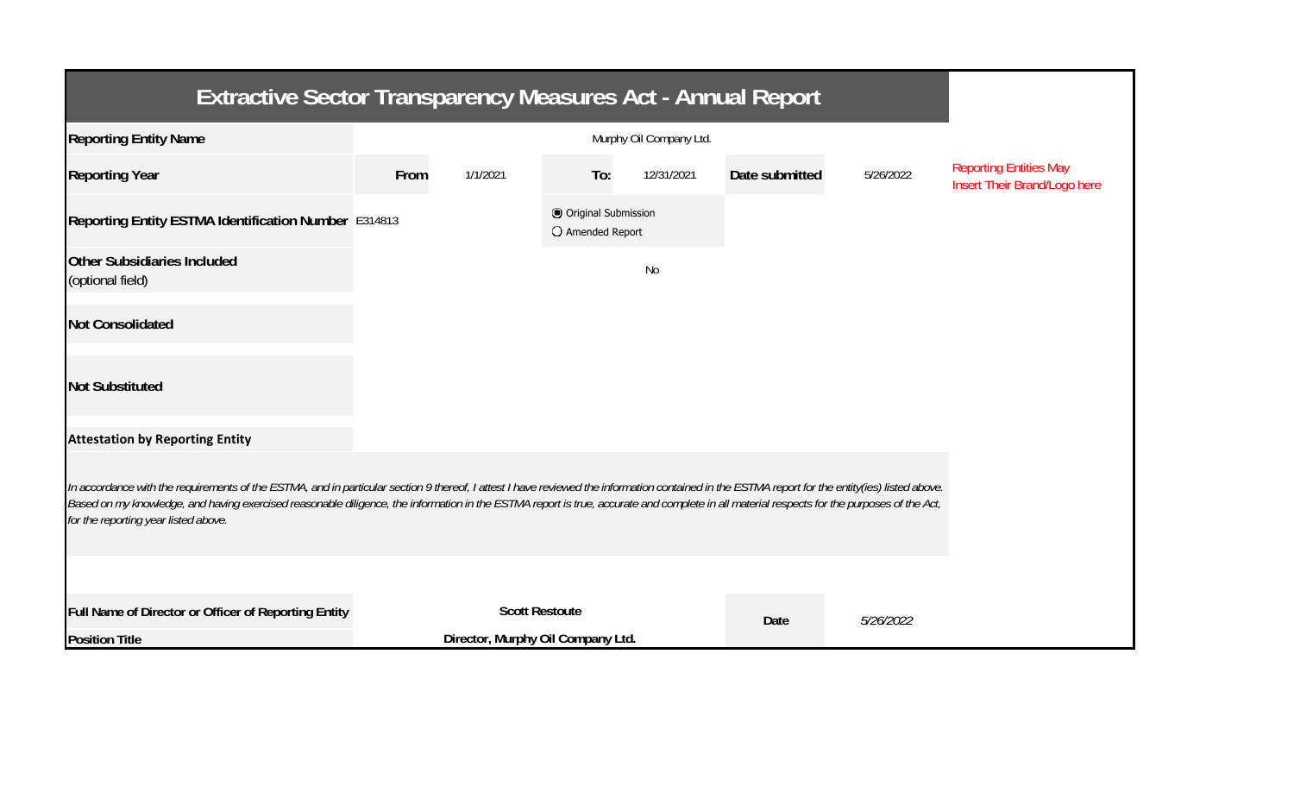| <b>Extractive Sector Transparency Measures Act - Annual Report</b>                                                                                                                                                                                                                                                                                                                                                                    |                       |                                   |                                           |            |                |           |                                                               |  |  |  |
|---------------------------------------------------------------------------------------------------------------------------------------------------------------------------------------------------------------------------------------------------------------------------------------------------------------------------------------------------------------------------------------------------------------------------------------|-----------------------|-----------------------------------|-------------------------------------------|------------|----------------|-----------|---------------------------------------------------------------|--|--|--|
| <b>Reporting Entity Name</b>                                                                                                                                                                                                                                                                                                                                                                                                          |                       |                                   |                                           |            |                |           |                                                               |  |  |  |
| <b>Reporting Year</b>                                                                                                                                                                                                                                                                                                                                                                                                                 | From                  | 1/1/2021                          | To:                                       | 12/31/2021 | Date submitted | 5/26/2022 | <b>Reporting Entities May</b><br>Insert Their Brand/Logo here |  |  |  |
| Reporting Entity ESTMA Identification Number E314813                                                                                                                                                                                                                                                                                                                                                                                  |                       |                                   | O Original Submission<br>O Amended Report |            |                |           |                                                               |  |  |  |
| <b>Other Subsidiaries Included</b><br>(optional field)                                                                                                                                                                                                                                                                                                                                                                                |                       |                                   |                                           | No         |                |           |                                                               |  |  |  |
| <b>Not Consolidated</b>                                                                                                                                                                                                                                                                                                                                                                                                               |                       |                                   |                                           |            |                |           |                                                               |  |  |  |
| <b>Not Substituted</b>                                                                                                                                                                                                                                                                                                                                                                                                                |                       |                                   |                                           |            |                |           |                                                               |  |  |  |
| <b>Attestation by Reporting Entity</b>                                                                                                                                                                                                                                                                                                                                                                                                |                       |                                   |                                           |            |                |           |                                                               |  |  |  |
| In accordance with the requirements of the ESTMA, and in particular section 9 thereof, I attest I have reviewed the information contained in the ESTMA report for the entity(ies) listed above.<br>Based on my knowledge, and having exercised reasonable diligence, the information in the ESTMA report is true, accurate and complete in all material respects for the purposes of the Act,<br>for the reporting year listed above. |                       |                                   |                                           |            |                |           |                                                               |  |  |  |
|                                                                                                                                                                                                                                                                                                                                                                                                                                       |                       |                                   |                                           |            |                |           |                                                               |  |  |  |
| Full Name of Director or Officer of Reporting Entity                                                                                                                                                                                                                                                                                                                                                                                  | <b>Scott Restoute</b> |                                   |                                           |            | Date           | 5/26/2022 |                                                               |  |  |  |
| <b>Position Title</b>                                                                                                                                                                                                                                                                                                                                                                                                                 |                       | Director, Murphy Oil Company Ltd. |                                           |            |                |           |                                                               |  |  |  |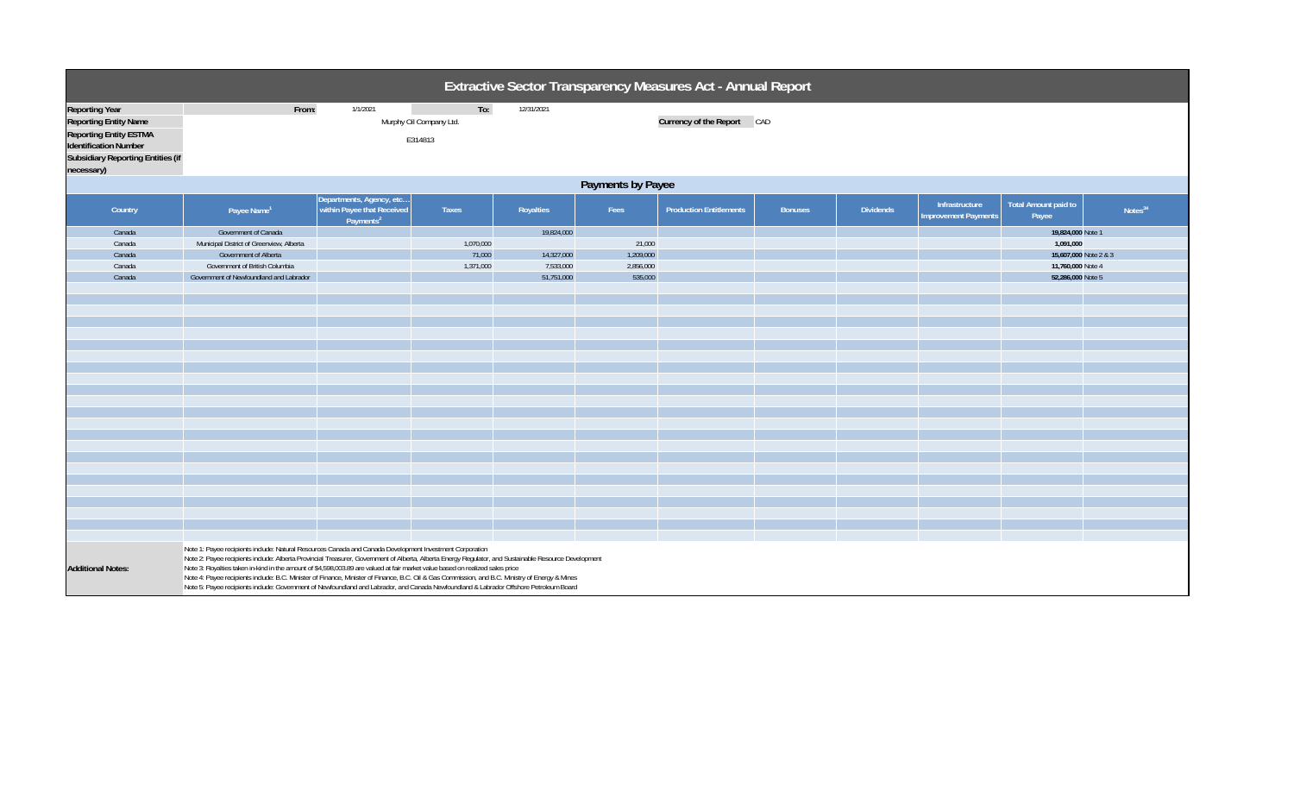|                                                                                                                                                                                  | Extractive Sector Transparency Measures Act - Annual Report                                                                                                                                                                                                                                                                                                                                                                                                                                                                                                                                                                                                                                     |                                                                                 |                                  |                                                     |                                             |                                |                |                  |                                               |                                                                                                   |                     |  |
|----------------------------------------------------------------------------------------------------------------------------------------------------------------------------------|-------------------------------------------------------------------------------------------------------------------------------------------------------------------------------------------------------------------------------------------------------------------------------------------------------------------------------------------------------------------------------------------------------------------------------------------------------------------------------------------------------------------------------------------------------------------------------------------------------------------------------------------------------------------------------------------------|---------------------------------------------------------------------------------|----------------------------------|-----------------------------------------------------|---------------------------------------------|--------------------------------|----------------|------------------|-----------------------------------------------|---------------------------------------------------------------------------------------------------|---------------------|--|
| <b>Reporting Year</b><br><b>Reporting Entity Name</b><br><b>Reporting Entity ESTMA</b><br><b>Identification Number</b><br><b>Subsidiary Reporting Entities (if</b><br>necessary) | From:                                                                                                                                                                                                                                                                                                                                                                                                                                                                                                                                                                                                                                                                                           | 12/31/2021                                                                      | Currency of the Report CAD       |                                                     |                                             |                                |                |                  |                                               |                                                                                                   |                     |  |
|                                                                                                                                                                                  | Payments by Payee                                                                                                                                                                                                                                                                                                                                                                                                                                                                                                                                                                                                                                                                               |                                                                                 |                                  |                                                     |                                             |                                |                |                  |                                               |                                                                                                   |                     |  |
| Country                                                                                                                                                                          | Payee Name <sup>1</sup>                                                                                                                                                                                                                                                                                                                                                                                                                                                                                                                                                                                                                                                                         | Departments, Agency, etc<br>within Payee that Received<br>Payments <sup>2</sup> | Taxes                            | Royalties                                           | Fees                                        | <b>Production Entitlements</b> | <b>Bonuses</b> | <b>Dividends</b> | Infrastructure<br><b>Improvement Payments</b> | <b>Total Amount paid to</b><br>Payee                                                              | Notes <sup>34</sup> |  |
| Canada<br>Canada<br>Canada<br>Canada<br>Canada                                                                                                                                   | Government of Canada<br>Municipal District of Greenview, Alberta<br>Government of Alberta<br>Government of British Columbia<br>Government of Newfoundland and Labrador                                                                                                                                                                                                                                                                                                                                                                                                                                                                                                                          |                                                                                 | 1,070,000<br>71,000<br>1,371,000 | 19,824,000<br>14,327,000<br>7,533,000<br>51,751,000 | 21,000<br>1,209,000<br>2,856,000<br>535,000 |                                |                |                  |                                               | 19,824,000 Note 1<br>1,091,000<br>15,607,000 Note 2 & 3<br>11,760,000 Note 4<br>52,286,000 Note 5 |                     |  |
| <b>Additional Notes:</b>                                                                                                                                                         | Note 1: Payee recipients include: Natural Resources Canada and Canada Development Investment Corporation<br>Note 2: Payee recipients include: Alberta Provincial Treasurer, Government of Alberta, Alberta Energy Regulator, and Sustainable Resource Development<br>Note 3: Royalties taken in-kind in the amount of \$4,598,003.89 are valued at fair market value based on realized sales price<br>Note 4: Payee recipients include: B.C. Minister of Finance, Minister of Finance, B.C. Oil & Gas Commission, and B.C. Ministry of Energy & Mines<br>Note 5: Payee recipients include: Government of Newfoundland and Labrador, and Canada Newfoundland & Labrador Offshore Petroleum Board |                                                                                 |                                  |                                                     |                                             |                                |                |                  |                                               |                                                                                                   |                     |  |